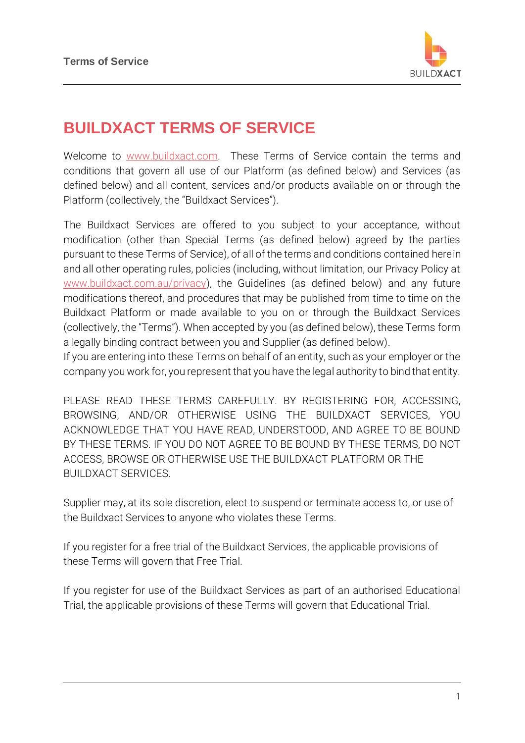

## **BUILDXACT TERMS OF SERVICE**

Welcome to [www.buildxact.com.](http://www.buildxact.com.au/) These Terms of Service contain the terms and conditions that govern all use of our Platform (as defined below) and Services (as defined below) and all content, services and/or products available on or through the Platform (collectively, the "Buildxact Services").

The Buildxact Services are offered to you subject to your acceptance, without modification (other than Special Terms (as defined below) agreed by the parties pursuant to these Terms of Service), of all of the terms and conditions contained herein and all other operating rules, policies (including, without limitation, our Privacy Policy at [www.buildxact.com.au/privacy\)](http://www.buildxact.com.au/privacy), the Guidelines (as defined below) and any future modifications thereof, and procedures that may be published from time to time on the Buildxact Platform or made available to you on or through the Buildxact Services (collectively, the "Terms"). When accepted by you (as defined below), these Terms form a legally binding contract between you and Supplier (as defined below).

If you are entering into these Terms on behalf of an entity, such as your employer or the company you work for, you represent that you have the legal authority to bind that entity.

PLEASE READ THESE TERMS CAREFULLY. BY REGISTERING FOR, ACCESSING, BROWSING, AND/OR OTHERWISE USING THE BUILDXACT SERVICES, YOU ACKNOWLEDGE THAT YOU HAVE READ, UNDERSTOOD, AND AGREE TO BE BOUND BY THESE TERMS. IF YOU DO NOT AGREE TO BE BOUND BY THESE TERMS, DO NOT ACCESS, BROWSE OR OTHERWISE USE THE BUILDXACT PLATFORM OR THE BUILDXACT SERVICES.

Supplier may, at its sole discretion, elect to suspend or terminate access to, or use of the Buildxact Services to anyone who violates these Terms.

If you register for a free trial of the Buildxact Services, the applicable provisions of these Terms will govern that Free Trial.

If you register for use of the Buildxact Services as part of an authorised Educational Trial, the applicable provisions of these Terms will govern that Educational Trial.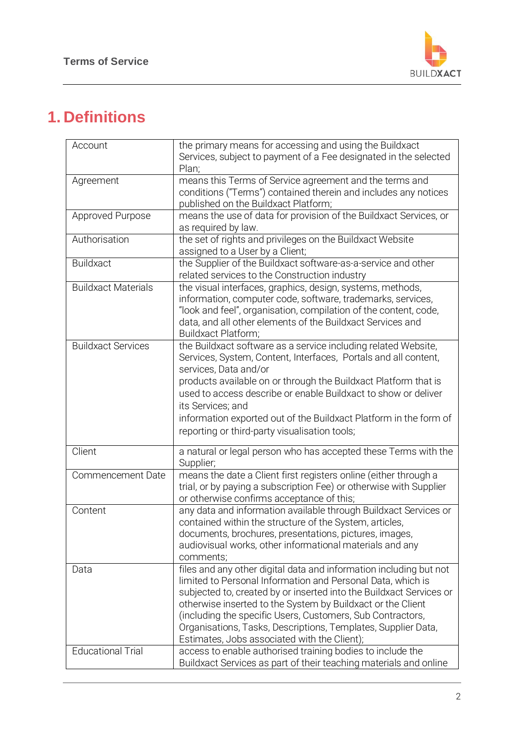

# **1. Definitions**

| Account                    | the primary means for accessing and using the Buildxact<br>Services, subject to payment of a Fee designated in the selected<br>Plan;                                                                                                                                                                                                                                                                                                                   |
|----------------------------|--------------------------------------------------------------------------------------------------------------------------------------------------------------------------------------------------------------------------------------------------------------------------------------------------------------------------------------------------------------------------------------------------------------------------------------------------------|
| Agreement                  | means this Terms of Service agreement and the terms and<br>conditions ("Terms") contained therein and includes any notices<br>published on the Buildxact Platform;                                                                                                                                                                                                                                                                                     |
| Approved Purpose           | means the use of data for provision of the Buildxact Services, or<br>as required by law.                                                                                                                                                                                                                                                                                                                                                               |
| Authorisation              | the set of rights and privileges on the Buildxact Website<br>assigned to a User by a Client;                                                                                                                                                                                                                                                                                                                                                           |
| <b>Buildxact</b>           | the Supplier of the Buildxact software-as-a-service and other<br>related services to the Construction industry                                                                                                                                                                                                                                                                                                                                         |
| <b>Buildxact Materials</b> | the visual interfaces, graphics, design, systems, methods,<br>information, computer code, software, trademarks, services,<br>"look and feel", organisation, compilation of the content, code,<br>data, and all other elements of the Buildxact Services and<br>Buildxact Platform;                                                                                                                                                                     |
| <b>Buildxact Services</b>  | the Buildxact software as a service including related Website,<br>Services, System, Content, Interfaces, Portals and all content,<br>services, Data and/or<br>products available on or through the Buildxact Platform that is<br>used to access describe or enable Buildxact to show or deliver<br>its Services; and                                                                                                                                   |
|                            | information exported out of the Buildxact Platform in the form of<br>reporting or third-party visualisation tools;                                                                                                                                                                                                                                                                                                                                     |
| Client                     | a natural or legal person who has accepted these Terms with the<br>Supplier;                                                                                                                                                                                                                                                                                                                                                                           |
| <b>Commencement Date</b>   | means the date a Client first registers online (either through a<br>trial, or by paying a subscription Fee) or otherwise with Supplier<br>or otherwise confirms acceptance of this;                                                                                                                                                                                                                                                                    |
| Content                    | any data and information available through Buildxact Services or<br>contained within the structure of the System, articles,<br>documents, brochures, presentations, pictures, images,<br>audiovisual works, other informational materials and any<br>comments;                                                                                                                                                                                         |
| Data                       | files and any other digital data and information including but not<br>limited to Personal Information and Personal Data, which is<br>subjected to, created by or inserted into the Buildxact Services or<br>otherwise inserted to the System by Buildxact or the Client<br>(including the specific Users, Customers, Sub Contractors,<br>Organisations, Tasks, Descriptions, Templates, Supplier Data,<br>Estimates, Jobs associated with the Client); |
| <b>Educational Trial</b>   | access to enable authorised training bodies to include the<br>Buildxact Services as part of their teaching materials and online                                                                                                                                                                                                                                                                                                                        |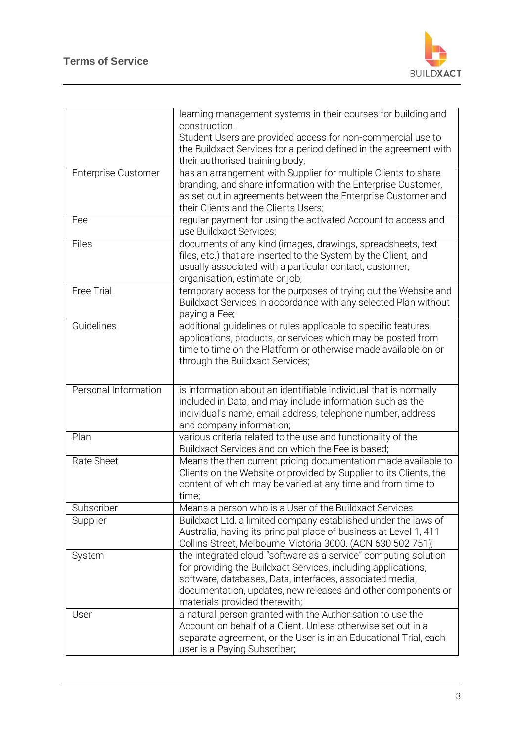

|                      | learning management systems in their courses for building and<br>construction.                   |
|----------------------|--------------------------------------------------------------------------------------------------|
|                      | Student Users are provided access for non-commercial use to                                      |
|                      | the Buildxact Services for a period defined in the agreement with                                |
|                      |                                                                                                  |
|                      | their authorised training body;                                                                  |
| Enterprise Customer  | has an arrangement with Supplier for multiple Clients to share                                   |
|                      | branding, and share information with the Enterprise Customer,                                    |
|                      | as set out in agreements between the Enterprise Customer and                                     |
|                      | their Clients and the Clients Users;                                                             |
| Fee                  | regular payment for using the activated Account to access and                                    |
|                      | use Buildxact Services:                                                                          |
| Files                | documents of any kind (images, drawings, spreadsheets, text                                      |
|                      | files, etc.) that are inserted to the System by the Client, and                                  |
|                      | usually associated with a particular contact, customer,                                          |
|                      | organisation, estimate or job;                                                                   |
| <b>Free Trial</b>    | temporary access for the purposes of trying out the Website and                                  |
|                      | Buildxact Services in accordance with any selected Plan without                                  |
|                      | paying a Fee;                                                                                    |
| Guidelines           | additional guidelines or rules applicable to specific features,                                  |
|                      | applications, products, or services which may be posted from                                     |
|                      | time to time on the Platform or otherwise made available on or                                   |
|                      | through the Buildxact Services;                                                                  |
|                      |                                                                                                  |
|                      |                                                                                                  |
| Personal Information | is information about an identifiable individual that is normally                                 |
|                      | included in Data, and may include information such as the                                        |
|                      | individual's name, email address, telephone number, address                                      |
|                      | and company information;                                                                         |
|                      |                                                                                                  |
| Plan                 | various criteria related to the use and functionality of the                                     |
|                      | Buildxact Services and on which the Fee is based;                                                |
| Rate Sheet           | Means the then current pricing documentation made available to                                   |
|                      | Clients on the Website or provided by Supplier to its Clients, the                               |
|                      |                                                                                                  |
|                      | content of which may be varied at any time and from time to                                      |
|                      | time;                                                                                            |
| Subscriber           | Means a person who is a User of the Buildxact Services                                           |
| Supplier             | Buildxact Ltd. a limited company established under the laws of                                   |
|                      | Australia, having its principal place of business at Level 1, 411                                |
|                      | Collins Street, Melbourne, Victoria 3000. (ACN 630 502 751);                                     |
| System               | the integrated cloud "software as a service" computing solution                                  |
|                      | for providing the Buildxact Services, including applications,                                    |
|                      | software, databases, Data, interfaces, associated media,                                         |
|                      | documentation, updates, new releases and other components or                                     |
|                      | materials provided therewith;                                                                    |
| User                 | a natural person granted with the Authorisation to use the                                       |
|                      | Account on behalf of a Client. Unless otherwise set out in a                                     |
|                      | separate agreement, or the User is in an Educational Trial, each<br>user is a Paying Subscriber; |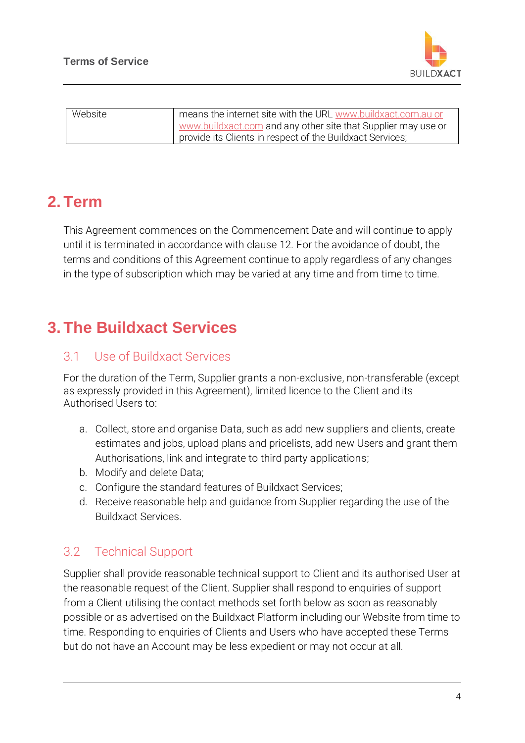

| Website | means the internet site with the URL www.buildxact.com.au or  |
|---------|---------------------------------------------------------------|
|         | www.buildxact.com and any other site that Supplier may use or |
|         | provide its Clients in respect of the Buildxact Services;     |

## **2. Term**

This Agreement commences on the Commencement Date and will continue to apply until it is terminated in accordance with clause 12. For the avoidance of doubt, the terms and conditions of this Agreement continue to apply regardless of any changes in the type of subscription which may be varied at any time and from time to time.

## **3. The Buildxact Services**

#### 3.1 Use of Buildxact Services

For the duration of the Term, Supplier grants a non-exclusive, non-transferable (except as expressly provided in this Agreement), limited licence to the Client and its Authorised Users to:

- a. Collect, store and organise Data, such as add new suppliers and clients, create estimates and jobs, upload plans and pricelists, add new Users and grant them Authorisations, link and integrate to third party applications;
- b. Modify and delete Data;
- c. Configure the standard features of Buildxact Services;
- d. Receive reasonable help and guidance from Supplier regarding the use of the Buildxact Services.

#### 3.2 Technical Support

Supplier shall provide reasonable technical support to Client and its authorised User at the reasonable request of the Client. Supplier shall respond to enquiries of support from a Client utilising the contact methods set forth below as soon as reasonably possible or as advertised on the Buildxact Platform including our Website from time to time. Responding to enquiries of Clients and Users who have accepted these Terms but do not have an Account may be less expedient or may not occur at all.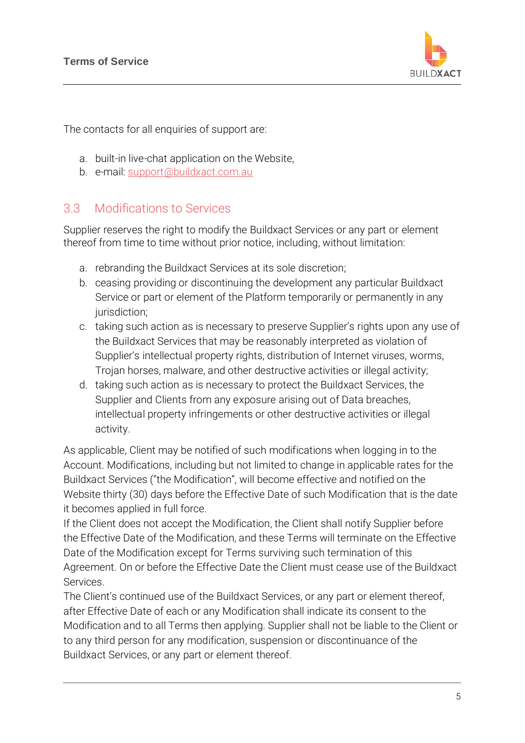

The contacts for all enquiries of support are:

- a. built-in live-chat application on the Website,
- b. e-mail: [support@buildxact.com.au](mailto:support@buildxact.com.au)

#### 3.3 Modifications to Services

Supplier reserves the right to modify the Buildxact Services or any part or element thereof from time to time without prior notice, including, without limitation:

- a. rebranding the Buildxact Services at its sole discretion;
- b. ceasing providing or discontinuing the development any particular Buildxact Service or part or element of the Platform temporarily or permanently in any jurisdiction;
- c. taking such action as is necessary to preserve Supplier's rights upon any use of the Buildxact Services that may be reasonably interpreted as violation of Supplier's intellectual property rights, distribution of Internet viruses, worms, Trojan horses, malware, and other destructive activities or illegal activity;
- d. taking such action as is necessary to protect the Buildxact Services, the Supplier and Clients from any exposure arising out of Data breaches, intellectual property infringements or other destructive activities or illegal activity.

As applicable, Client may be notified of such modifications when logging in to the Account. Modifications, including but not limited to change in applicable rates for the Buildxact Services ("the Modification", will become effective and notified on the Website thirty (30) days before the Effective Date of such Modification that is the date it becomes applied in full force.

If the Client does not accept the Modification, the Client shall notify Supplier before the Effective Date of the Modification, and these Terms will terminate on the Effective Date of the Modification except for Terms surviving such termination of this Agreement. On or before the Effective Date the Client must cease use of the Buildxact Services.

The Client's continued use of the Buildxact Services, or any part or element thereof, after Effective Date of each or any Modification shall indicate its consent to the Modification and to all Terms then applying. Supplier shall not be liable to the Client or to any third person for any modification, suspension or discontinuance of the Buildxact Services, or any part or element thereof.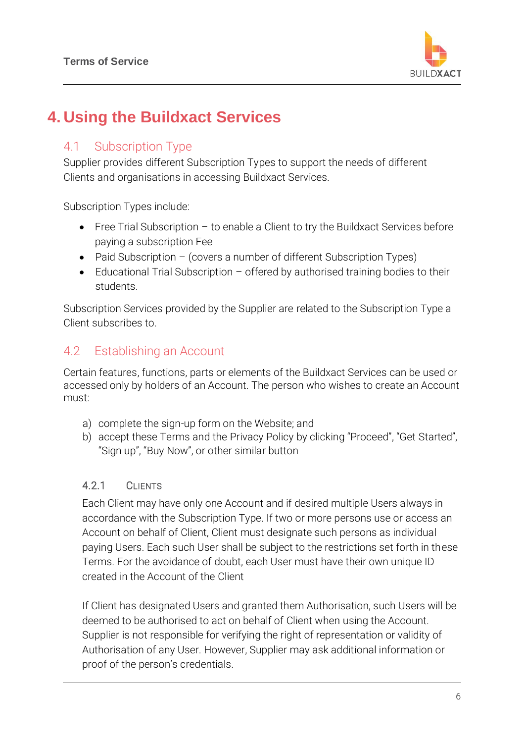

## **4. Using the Buildxact Services**

#### 4.1 Subscription Type

Supplier provides different Subscription Types to support the needs of different Clients and organisations in accessing Buildxact Services.

Subscription Types include:

- Free Trial Subscription to enable a Client to try the Buildxact Services before paying a subscription Fee
- Paid Subscription (covers a number of different Subscription Types)
- Educational Trial Subscription offered by authorised training bodies to their students.

Subscription Services provided by the Supplier are related to the Subscription Type a Client subscribes to.

#### 4.2 Establishing an Account

Certain features, functions, parts or elements of the Buildxact Services can be used or accessed only by holders of an Account. The person who wishes to create an Account must:

- a) complete the sign-up form on the Website; and
- b) accept these Terms and the Privacy Policy by clicking "Proceed", "Get Started", "Sign up", "Buy Now", or other similar button

#### 4.2.1 CLIENTS

Each Client may have only one Account and if desired multiple Users always in accordance with the Subscription Type. If two or more persons use or access an Account on behalf of Client, Client must designate such persons as individual paying Users. Each such User shall be subject to the restrictions set forth in these Terms. For the avoidance of doubt, each User must have their own unique ID created in the Account of the Client

If Client has designated Users and granted them Authorisation, such Users will be deemed to be authorised to act on behalf of Client when using the Account. Supplier is not responsible for verifying the right of representation or validity of Authorisation of any User. However, Supplier may ask additional information or proof of the person's credentials.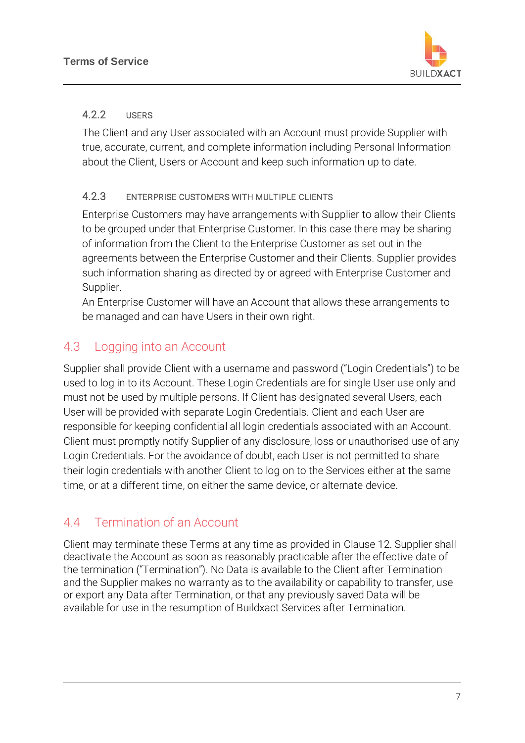

#### 4.2.2 USERS

The Client and any User associated with an Account must provide Supplier with true, accurate, current, and complete information including Personal Information about the Client, Users or Account and keep such information up to date.

#### 4.2.3 ENTERPRISE CUSTOMERS WITH MULTIPLE CLIENTS

Enterprise Customers may have arrangements with Supplier to allow their Clients to be grouped under that Enterprise Customer. In this case there may be sharing of information from the Client to the Enterprise Customer as set out in the agreements between the Enterprise Customer and their Clients. Supplier provides such information sharing as directed by or agreed with Enterprise Customer and Supplier.

An Enterprise Customer will have an Account that allows these arrangements to be managed and can have Users in their own right.

## 4.3 Logging into an Account

Supplier shall provide Client with a username and password ("Login Credentials") to be used to log in to its Account. These Login Credentials are for single User use only and must not be used by multiple persons. If Client has designated several Users, each User will be provided with separate Login Credentials. Client and each User are responsible for keeping confidential all login credentials associated with an Account. Client must promptly notify Supplier of any disclosure, loss or unauthorised use of any Login Credentials. For the avoidance of doubt, each User is not permitted to share their login credentials with another Client to log on to the Services either at the same time, or at a different time, on either the same device, or alternate device.

## 4.4 Termination of an Account

Client may terminate these Terms at any time as provided in Clause 12. Supplier shall deactivate the Account as soon as reasonably practicable after the effective date of the termination ("Termination"). No Data is available to the Client after Termination and the Supplier makes no warranty as to the availability or capability to transfer, use or export any Data after Termination, or that any previously saved Data will be available for use in the resumption of Buildxact Services after Termination.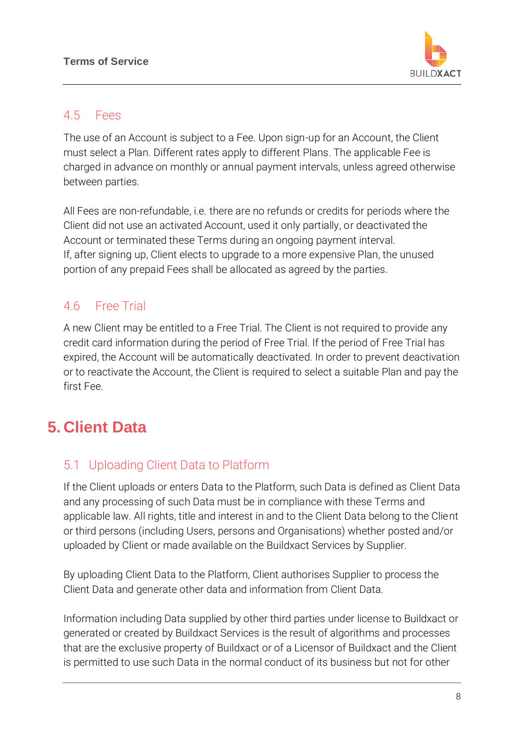

#### 4.5 Fees

The use of an Account is subject to a Fee. Upon sign-up for an Account, the Client must select a Plan. Different rates apply to different Plans. The applicable Fee is charged in advance on monthly or annual payment intervals, unless agreed otherwise between parties.

All Fees are non-refundable, i.e. there are no refunds or credits for periods where the Client did not use an activated Account, used it only partially, or deactivated the Account or terminated these Terms during an ongoing payment interval. If, after signing up, Client elects to upgrade to a more expensive Plan, the unused portion of any prepaid Fees shall be allocated as agreed by the parties.

### 4.6 Free Trial

A new Client may be entitled to a Free Trial. The Client is not required to provide any credit card information during the period of Free Trial. If the period of Free Trial has expired, the Account will be automatically deactivated. In order to prevent deactivation or to reactivate the Account, the Client is required to select a suitable Plan and pay the first Fee.

## **5. Client Data**

## 5.1 Uploading Client Data to Platform

If the Client uploads or enters Data to the Platform, such Data is defined as Client Data and any processing of such Data must be in compliance with these Terms and applicable law. All rights, title and interest in and to the Client Data belong to the Client or third persons (including Users, persons and Organisations) whether posted and/or uploaded by Client or made available on the Buildxact Services by Supplier.

By uploading Client Data to the Platform, Client authorises Supplier to process the Client Data and generate other data and information from Client Data.

Information including Data supplied by other third parties under license to Buildxact or generated or created by Buildxact Services is the result of algorithms and processes that are the exclusive property of Buildxact or of a Licensor of Buildxact and the Client is permitted to use such Data in the normal conduct of its business but not for other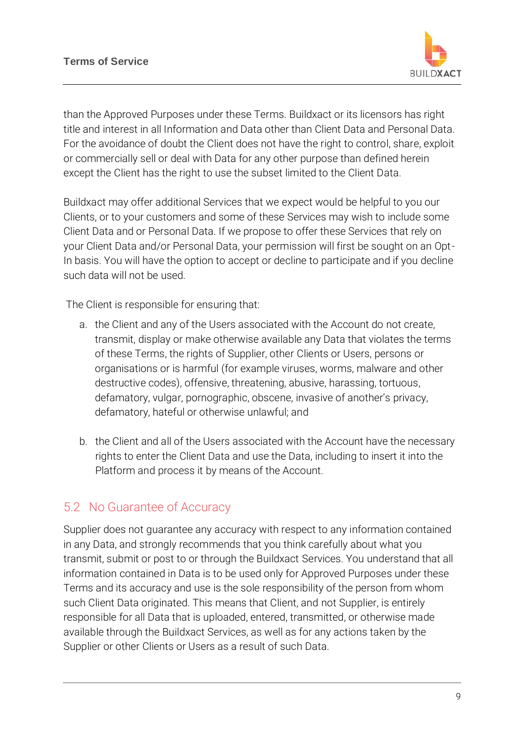

than the Approved Purposes under these Terms. Buildxact or its licensors has right title and interest in all Information and Data other than Client Data and Personal Data. For the avoidance of doubt the Client does not have the right to control, share, exploit or commercially sell or deal with Data for any other purpose than defined herein except the Client has the right to use the subset limited to the Client Data.

Buildxact may offer additional Services that we expect would be helpful to you our Clients, or to your customers and some of these Services may wish to include some Client Data and or Personal Data. If we propose to offer these Services that rely on your Client Data and/or Personal Data, your permission will first be sought on an Opt-In basis. You will have the option to accept or decline to participate and if you decline such data will not be used.

The Client is responsible for ensuring that:

- a. the Client and any of the Users associated with the Account do not create, transmit, display or make otherwise available any Data that violates the terms of these Terms, the rights of Supplier, other Clients or Users, persons or organisations or is harmful (for example viruses, worms, malware and other destructive codes), offensive, threatening, abusive, harassing, tortuous, defamatory, vulgar, pornographic, obscene, invasive of another's privacy, defamatory, hateful or otherwise unlawful; and
- b. the Client and all of the Users associated with the Account have the necessary rights to enter the Client Data and use the Data, including to insert it into the Platform and process it by means of the Account.

### 5.2 No Guarantee of Accuracy

Supplier does not guarantee any accuracy with respect to any information contained in any Data, and strongly recommends that you think carefully about what you transmit, submit or post to or through the Buildxact Services. You understand that all information contained in Data is to be used only for Approved Purposes under these Terms and its accuracy and use is the sole responsibility of the person from whom such Client Data originated. This means that Client, and not Supplier, is entirely responsible for all Data that is uploaded, entered, transmitted, or otherwise made available through the Buildxact Services, as well as for any actions taken by the Supplier or other Clients or Users as a result of such Data.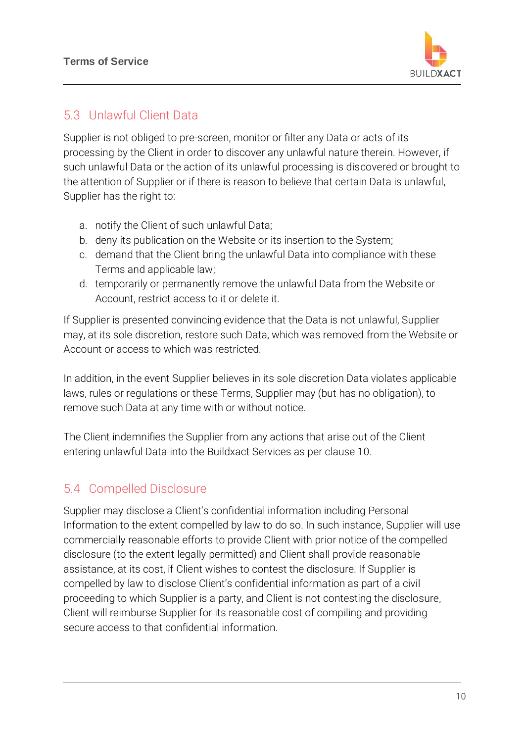

### 5.3 Unlawful Client Data

Supplier is not obliged to pre-screen, monitor or filter any Data or acts of its processing by the Client in order to discover any unlawful nature therein. However, if such unlawful Data or the action of its unlawful processing is discovered or brought to the attention of Supplier or if there is reason to believe that certain Data is unlawful, Supplier has the right to:

- a. notify the Client of such unlawful Data;
- b. deny its publication on the Website or its insertion to the System;
- c. demand that the Client bring the unlawful Data into compliance with these Terms and applicable law;
- d. temporarily or permanently remove the unlawful Data from the Website or Account, restrict access to it or delete it.

If Supplier is presented convincing evidence that the Data is not unlawful, Supplier may, at its sole discretion, restore such Data, which was removed from the Website or Account or access to which was restricted.

In addition, in the event Supplier believes in its sole discretion Data violates applicable laws, rules or regulations or these Terms, Supplier may (but has no obligation), to remove such Data at any time with or without notice.

The Client indemnifies the Supplier from any actions that arise out of the Client entering unlawful Data into the Buildxact Services as per clause 10.

## 5.4 Compelled Disclosure

Supplier may disclose a Client's confidential information including Personal Information to the extent compelled by law to do so. In such instance, Supplier will use commercially reasonable efforts to provide Client with prior notice of the compelled disclosure (to the extent legally permitted) and Client shall provide reasonable assistance, at its cost, if Client wishes to contest the disclosure. If Supplier is compelled by law to disclose Client's confidential information as part of a civil proceeding to which Supplier is a party, and Client is not contesting the disclosure, Client will reimburse Supplier for its reasonable cost of compiling and providing secure access to that confidential information.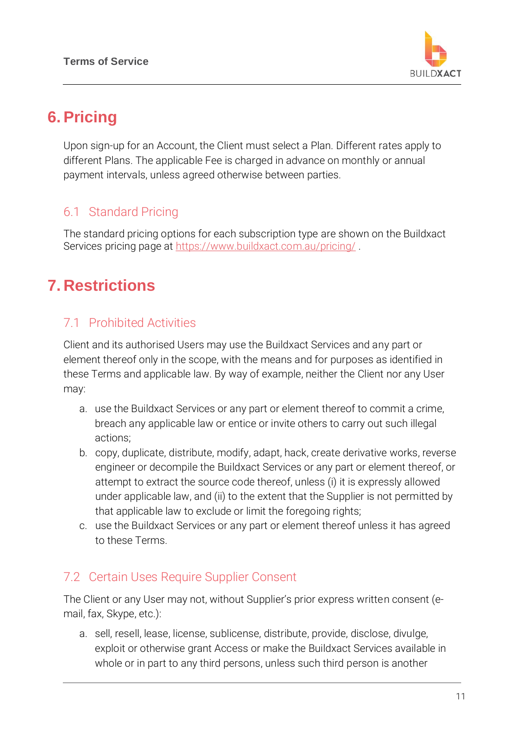

## **6.Pricing**

Upon sign-up for an Account, the Client must select a Plan. Different rates apply to different Plans. The applicable Fee is charged in advance on monthly or annual payment intervals, unless agreed otherwise between parties.

### 6.1 Standard Pricing

The standard pricing options for each subscription type are shown on the Buildxact Services pricing page at<https://www.buildxact.com.au/pricing/>.

## **7. Restrictions**

### 7.1 Prohibited Activities

Client and its authorised Users may use the Buildxact Services and any part or element thereof only in the scope, with the means and for purposes as identified in these Terms and applicable law. By way of example, neither the Client nor any User may:

- a. use the Buildxact Services or any part or element thereof to commit a crime, breach any applicable law or entice or invite others to carry out such illegal actions;
- b. copy, duplicate, distribute, modify, adapt, hack, create derivative works, reverse engineer or decompile the Buildxact Services or any part or element thereof, or attempt to extract the source code thereof, unless (i) it is expressly allowed under applicable law, and (ii) to the extent that the Supplier is not permitted by that applicable law to exclude or limit the foregoing rights;
- c. use the Buildxact Services or any part or element thereof unless it has agreed to these Terms.

### 7.2 Certain Uses Require Supplier Consent

The Client or any User may not, without Supplier's prior express written consent (email, fax, Skype, etc.):

a. sell, resell, lease, license, sublicense, distribute, provide, disclose, divulge, exploit or otherwise grant Access or make the Buildxact Services available in whole or in part to any third persons, unless such third person is another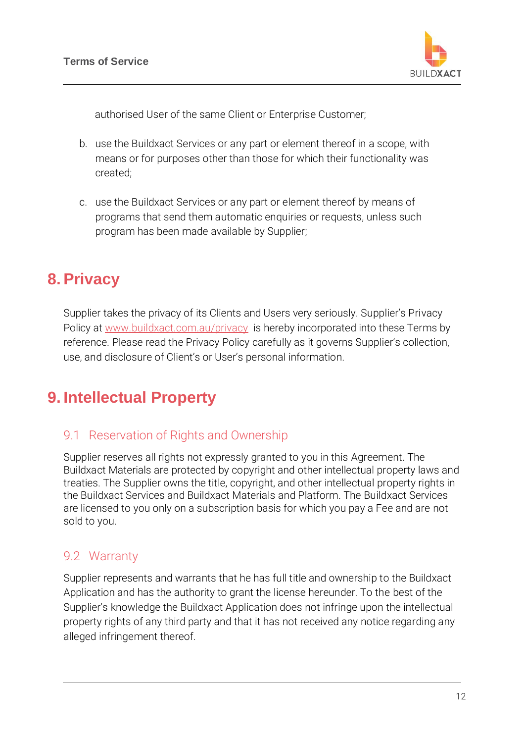

authorised User of the same Client or Enterprise Customer;

- b. use the Buildxact Services or any part or element thereof in a scope, with means or for purposes other than those for which their functionality was created;
- c. use the Buildxact Services or any part or element thereof by means of programs that send them automatic enquiries or requests, unless such program has been made available by Supplier;

## **8.Privacy**

Supplier takes the privacy of its Clients and Users very seriously. Supplier's Privacy Policy at [www.buildxact.com.au/privacy](http://www.buildxact.com.au/privacy) is hereby incorporated into these Terms by reference. Please read the Privacy Policy carefully as it governs Supplier's collection, use, and disclosure of Client's or User's personal information.

## **9. Intellectual Property**

#### 9.1 Reservation of Rights and Ownership

Supplier reserves all rights not expressly granted to you in this Agreement. The Buildxact Materials are protected by copyright and other intellectual property laws and treaties. The Supplier owns the title, copyright, and other intellectual property rights in the Buildxact Services and Buildxact Materials and Platform. The Buildxact Services are licensed to you only on a subscription basis for which you pay a Fee and are not sold to you.

#### 9.2 Warranty

Supplier represents and warrants that he has full title and ownership to the Buildxact Application and has the authority to grant the license hereunder. To the best of the Supplier's knowledge the Buildxact Application does not infringe upon the intellectual property rights of any third party and that it has not received any notice regarding any alleged infringement thereof.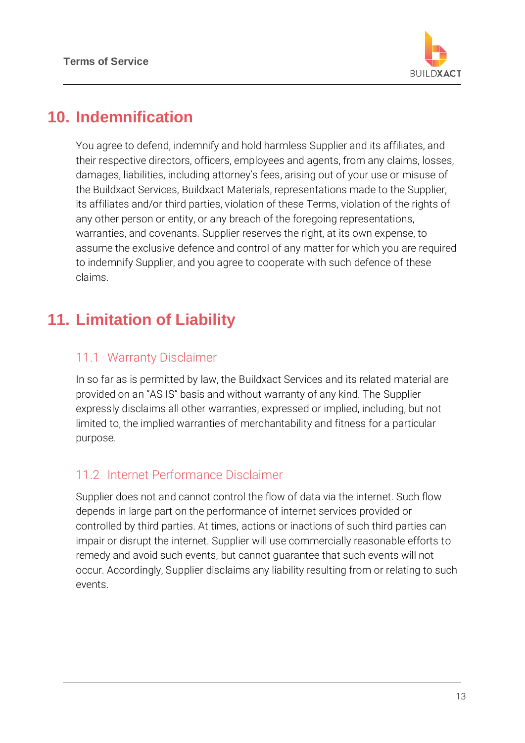

## **10. Indemnification**

You agree to defend, indemnify and hold harmless Supplier and its affiliates, and their respective directors, officers, employees and agents, from any claims, losses, damages, liabilities, including attorney's fees, arising out of your use or misuse of the Buildxact Services, Buildxact Materials, representations made to the Supplier, its affiliates and/or third parties, violation of these Terms, violation of the rights of any other person or entity, or any breach of the foregoing representations, warranties, and covenants. Supplier reserves the right, at its own expense, to assume the exclusive defence and control of any matter for which you are required to indemnify Supplier, and you agree to cooperate with such defence of these claims.

## **11. Limitation of Liability**

#### 11.1 Warranty Disclaimer

In so far as is permitted by law, the Buildxact Services and its related material are provided on an "AS IS" basis and without warranty of any kind. The Supplier expressly disclaims all other warranties, expressed or implied, including, but not limited to, the implied warranties of merchantability and fitness for a particular purpose.

#### 11.2 Internet Performance Disclaimer

Supplier does not and cannot control the flow of data via the internet. Such flow depends in large part on the performance of internet services provided or controlled by third parties. At times, actions or inactions of such third parties can impair or disrupt the internet. Supplier will use commercially reasonable efforts to remedy and avoid such events, but cannot guarantee that such events will not occur. Accordingly, Supplier disclaims any liability resulting from or relating to such events.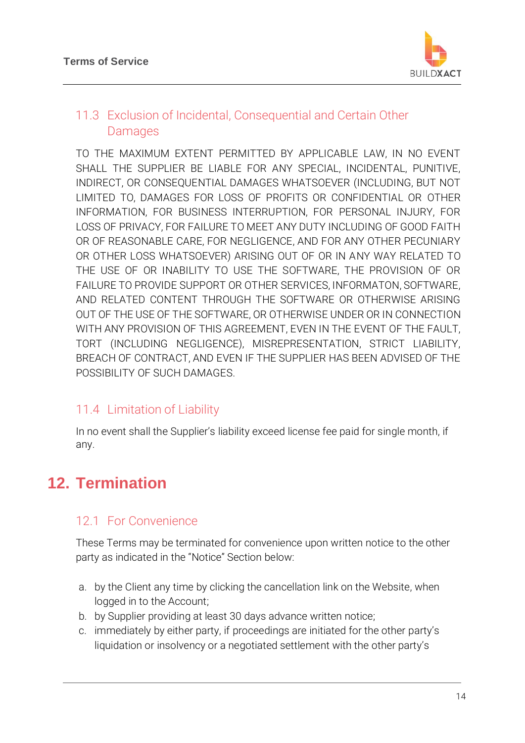

### 11.3 Exclusion of Incidental, Consequential and Certain Other Damages

TO THE MAXIMUM EXTENT PERMITTED BY APPLICABLE LAW, IN NO EVENT SHALL THE SUPPLIER BE LIABLE FOR ANY SPECIAL, INCIDENTAL, PUNITIVE, INDIRECT, OR CONSEQUENTIAL DAMAGES WHATSOEVER (INCLUDING, BUT NOT LIMITED TO, DAMAGES FOR LOSS OF PROFITS OR CONFIDENTIAL OR OTHER INFORMATION, FOR BUSINESS INTERRUPTION, FOR PERSONAL INJURY, FOR LOSS OF PRIVACY, FOR FAILURE TO MEET ANY DUTY INCLUDING OF GOOD FAITH OR OF REASONABLE CARE, FOR NEGLIGENCE, AND FOR ANY OTHER PECUNIARY OR OTHER LOSS WHATSOEVER) ARISING OUT OF OR IN ANY WAY RELATED TO THE USE OF OR INABILITY TO USE THE SOFTWARE, THE PROVISION OF OR FAILURE TO PROVIDE SUPPORT OR OTHER SERVICES, INFORMATON, SOFTWARE, AND RELATED CONTENT THROUGH THE SOFTWARE OR OTHERWISE ARISING OUT OF THE USE OF THE SOFTWARE, OR OTHERWISE UNDER OR IN CONNECTION WITH ANY PROVISION OF THIS AGREEMENT, EVEN IN THE EVENT OF THE FAULT, TORT (INCLUDING NEGLIGENCE), MISREPRESENTATION, STRICT LIABILITY, BREACH OF CONTRACT, AND EVEN IF THE SUPPLIER HAS BEEN ADVISED OF THE POSSIBILITY OF SUCH DAMAGES.

### 11.4 Limitation of Liability

In no event shall the Supplier's liability exceed license fee paid for single month, if any.

# **12. Termination**

#### 12.1 For Convenience

These Terms may be terminated for convenience upon written notice to the other party as indicated in the "Notice" Section below:

- a. by the Client any time by clicking the cancellation link on the Website, when logged in to the Account;
- b. by Supplier providing at least 30 days advance written notice;
- c. immediately by either party, if proceedings are initiated for the other party's liquidation or insolvency or a negotiated settlement with the other party's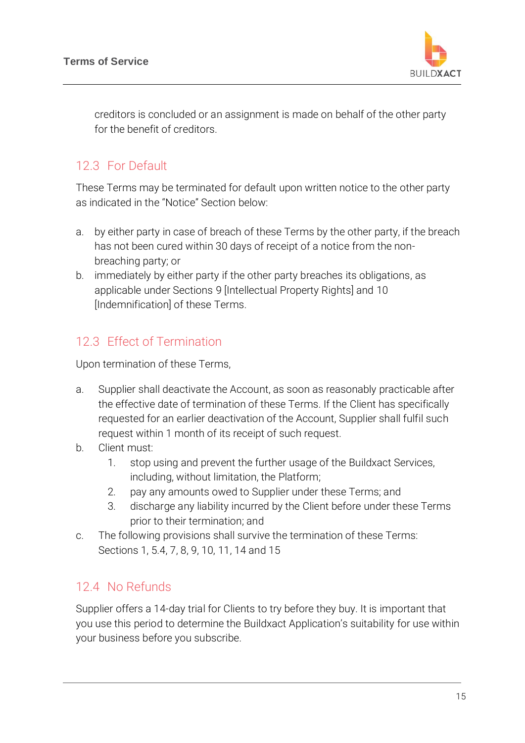

creditors is concluded or an assignment is made on behalf of the other party for the benefit of creditors.

### 12.3 For Default

These Terms may be terminated for default upon written notice to the other party as indicated in the "Notice" Section below:

- a. by either party in case of breach of these Terms by the other party, if the breach has not been cured within 30 days of receipt of a notice from the nonbreaching party; or
- b. immediately by either party if the other party breaches its obligations, as applicable under Sections 9 [Intellectual Property Rights] and 10 [Indemnification] of these Terms.

## 12.3 Effect of Termination

Upon termination of these Terms,

- a. Supplier shall deactivate the Account, as soon as reasonably practicable after the effective date of termination of these Terms. If the Client has specifically requested for an earlier deactivation of the Account, Supplier shall fulfil such request within 1 month of its receipt of such request.
- b. Client must:
	- 1. stop using and prevent the further usage of the Buildxact Services, including, without limitation, the Platform;
	- 2. pay any amounts owed to Supplier under these Terms; and
	- 3. discharge any liability incurred by the Client before under these Terms prior to their termination; and
- c. The following provisions shall survive the termination of these Terms: Sections 1, 5.4, 7, 8, 9, 10, 11, 14 and 15

### 12.4 No Refunds

Supplier offers a 14-day trial for Clients to try before they buy. It is important that you use this period to determine the Buildxact Application's suitability for use within your business before you subscribe.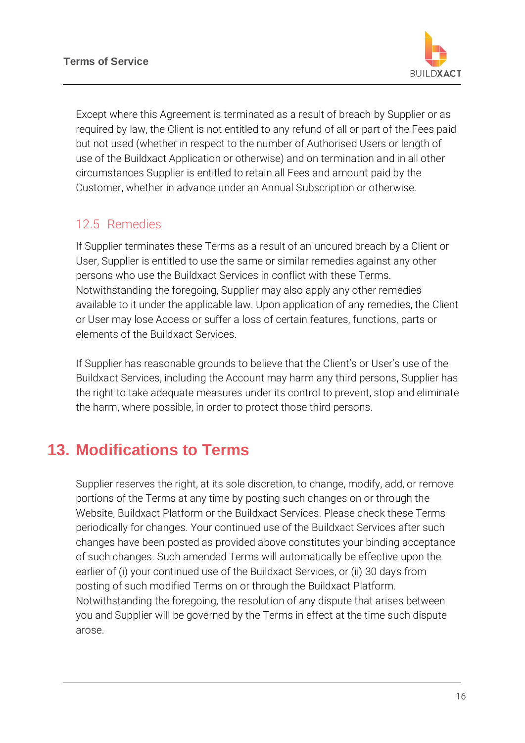

Except where this Agreement is terminated as a result of breach by Supplier or as required by law, the Client is not entitled to any refund of all or part of the Fees paid but not used (whether in respect to the number of Authorised Users or length of use of the Buildxact Application or otherwise) and on termination and in all other circumstances Supplier is entitled to retain all Fees and amount paid by the Customer, whether in advance under an Annual Subscription or otherwise.

### 12.5 Remedies

If Supplier terminates these Terms as a result of an uncured breach by a Client or User, Supplier is entitled to use the same or similar remedies against any other persons who use the Buildxact Services in conflict with these Terms. Notwithstanding the foregoing, Supplier may also apply any other remedies available to it under the applicable law. Upon application of any remedies, the Client or User may lose Access or suffer a loss of certain features, functions, parts or elements of the Buildxact Services.

If Supplier has reasonable grounds to believe that the Client's or User's use of the Buildxact Services, including the Account may harm any third persons, Supplier has the right to take adequate measures under its control to prevent, stop and eliminate the harm, where possible, in order to protect those third persons.

## **13. Modifications to Terms**

Supplier reserves the right, at its sole discretion, to change, modify, add, or remove portions of the Terms at any time by posting such changes on or through the Website, Buildxact Platform or the Buildxact Services. Please check these Terms periodically for changes. Your continued use of the Buildxact Services after such changes have been posted as provided above constitutes your binding acceptance of such changes. Such amended Terms will automatically be effective upon the earlier of (i) your continued use of the Buildxact Services, or (ii) 30 days from posting of such modified Terms on or through the Buildxact Platform. Notwithstanding the foregoing, the resolution of any dispute that arises between you and Supplier will be governed by the Terms in effect at the time such dispute arose.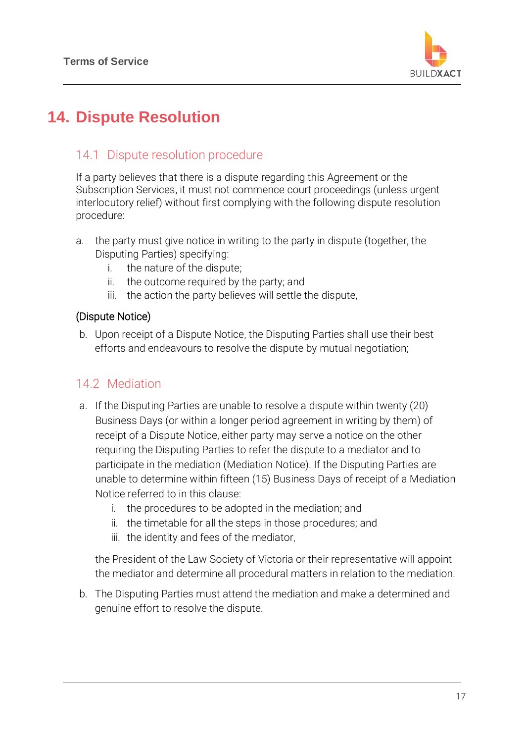

# **14. Dispute Resolution**

#### 14.1 Dispute resolution procedure

If a party believes that there is a dispute regarding this Agreement or the Subscription Services, it must not commence court proceedings (unless urgent interlocutory relief) without first complying with the following dispute resolution procedure:

- a. the party must give notice in writing to the party in dispute (together, the Disputing Parties) specifying:
	- i. the nature of the dispute;
	- ii. the outcome required by the party; and
	- iii. the action the party believes will settle the dispute,

#### (Dispute Notice)

b. Upon receipt of a Dispute Notice, the Disputing Parties shall use their best efforts and endeavours to resolve the dispute by mutual negotiation;

#### 14.2 Mediation

- a. If the Disputing Parties are unable to resolve a dispute within twenty (20) Business Days (or within a longer period agreement in writing by them) of receipt of a Dispute Notice, either party may serve a notice on the other requiring the Disputing Parties to refer the dispute to a mediator and to participate in the mediation (Mediation Notice). If the Disputing Parties are unable to determine within fifteen (15) Business Days of receipt of a Mediation Notice referred to in this clause:
	- i. the procedures to be adopted in the mediation; and
	- ii. the timetable for all the steps in those procedures; and
	- iii. the identity and fees of the mediator,

the President of the Law Society of Victoria or their representative will appoint the mediator and determine all procedural matters in relation to the mediation.

b. The Disputing Parties must attend the mediation and make a determined and genuine effort to resolve the dispute.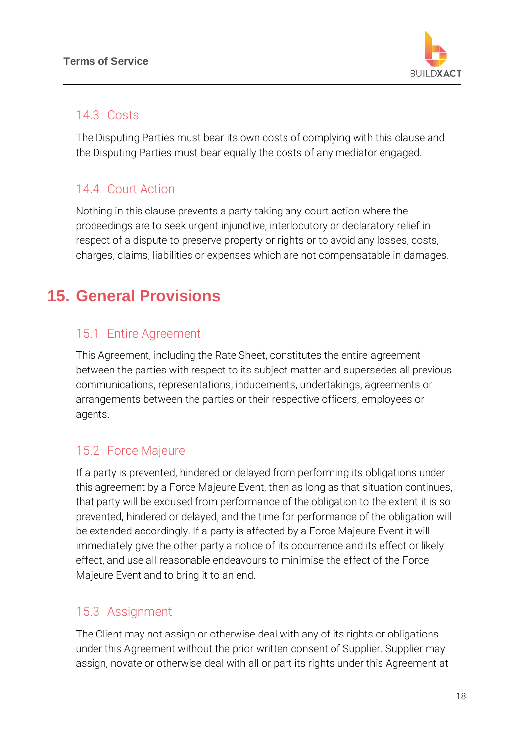

#### 14.3 Costs

The Disputing Parties must bear its own costs of complying with this clause and the Disputing Parties must bear equally the costs of any mediator engaged.

## 14.4 Court Action

Nothing in this clause prevents a party taking any court action where the proceedings are to seek urgent injunctive, interlocutory or declaratory relief in respect of a dispute to preserve property or rights or to avoid any losses, costs, charges, claims, liabilities or expenses which are not compensatable in damages.

# **15. General Provisions**

### 15.1 Entire Agreement

This Agreement, including the Rate Sheet, constitutes the entire agreement between the parties with respect to its subject matter and supersedes all previous communications, representations, inducements, undertakings, agreements or arrangements between the parties or their respective officers, employees or agents.

### 15.2 Force Majeure

If a party is prevented, hindered or delayed from performing its obligations under this agreement by a Force Majeure Event, then as long as that situation continues, that party will be excused from performance of the obligation to the extent it is so prevented, hindered or delayed, and the time for performance of the obligation will be extended accordingly. If a party is affected by a Force Majeure Event it will immediately give the other party a notice of its occurrence and its effect or likely effect, and use all reasonable endeavours to minimise the effect of the Force Majeure Event and to bring it to an end.

#### 15.3 Assignment

The Client may not assign or otherwise deal with any of its rights or obligations under this Agreement without the prior written consent of Supplier. Supplier may assign, novate or otherwise deal with all or part its rights under this Agreement at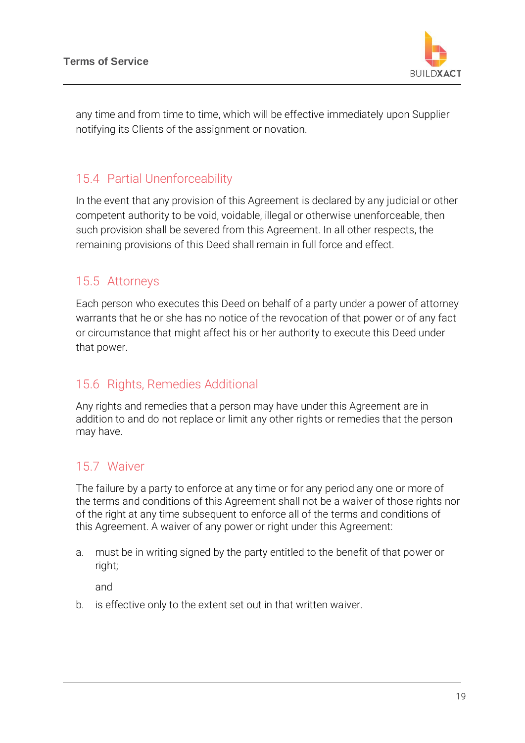

any time and from time to time, which will be effective immediately upon Supplier notifying its Clients of the assignment or novation.

#### 15.4 Partial Unenforceability

In the event that any provision of this Agreement is declared by any judicial or other competent authority to be void, voidable, illegal or otherwise unenforceable, then such provision shall be severed from this Agreement. In all other respects, the remaining provisions of this Deed shall remain in full force and effect.

### 15.5 Attorneys

Each person who executes this Deed on behalf of a party under a power of attorney warrants that he or she has no notice of the revocation of that power or of any fact or circumstance that might affect his or her authority to execute this Deed under that power.

#### 15.6 Rights, Remedies Additional

Any rights and remedies that a person may have under this Agreement are in addition to and do not replace or limit any other rights or remedies that the person may have.

### 15.7 Waiver

The failure by a party to enforce at any time or for any period any one or more of the terms and conditions of this Agreement shall not be a waiver of those rights nor of the right at any time subsequent to enforce all of the terms and conditions of this Agreement. A waiver of any power or right under this Agreement:

a. must be in writing signed by the party entitled to the benefit of that power or right;

and

b. is effective only to the extent set out in that written waiver.